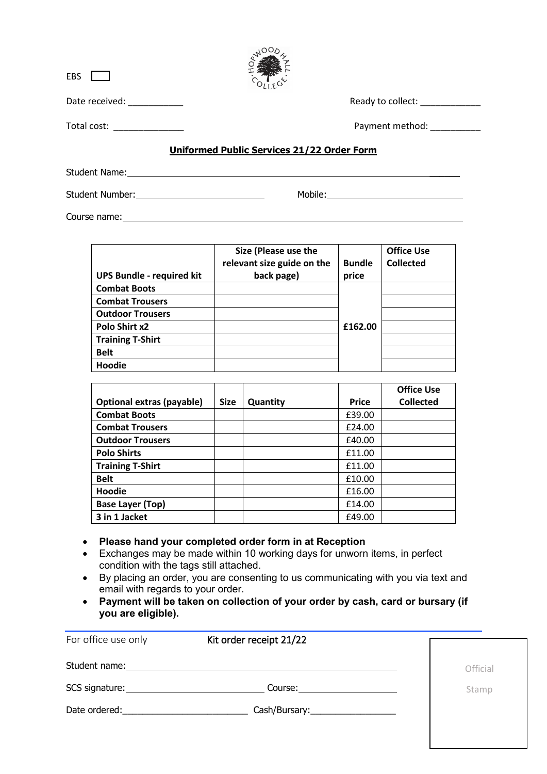| <b>EBS</b>                 |                                            |
|----------------------------|--------------------------------------------|
| Date received: ___________ | Ready to collect: _____________            |
| Total cost:                | Payment method:                            |
|                            | Uniformed Public Services 21/22 Order Form |
| Student Name:              |                                            |

 $x^{\alpha O O}$ 

Student Number: Mobile: Mobile: Mobile: Mobile: Mobile: Mobile: Mobile: Mobile: Mobile: Mobile: Mobile: Mobile: Mobile: Mobile: Mobile: Mobile: Mobile: Mobile: Mobile: Mobile: Mobile: Mobile: Mobile: Mobile: Mobile: Mobile Course name:

**UPS Bundle - required kit Size (Please use the relevant size guide on the back page) Bundle price Office Use Collected Combat Boots £162.00 Combat Trousers Outdoor Trousers Polo Shirt x2 Training T-Shirt Belt Hoodie**

|                                  |             |          |              | <b>Office Use</b> |
|----------------------------------|-------------|----------|--------------|-------------------|
| <b>Optional extras (payable)</b> | <b>Size</b> | Quantity | <b>Price</b> | <b>Collected</b>  |
| <b>Combat Boots</b>              |             |          | £39.00       |                   |
| <b>Combat Trousers</b>           |             |          | £24.00       |                   |
| <b>Outdoor Trousers</b>          |             |          | £40.00       |                   |
| <b>Polo Shirts</b>               |             |          | £11.00       |                   |
| <b>Training T-Shirt</b>          |             |          | £11.00       |                   |
| <b>Belt</b>                      |             |          | £10.00       |                   |
| Hoodie                           |             |          | £16.00       |                   |
| <b>Base Layer (Top)</b>          |             |          | £14.00       |                   |
| 3 in 1 Jacket                    |             |          | £49.00       |                   |

• **Please hand your completed order form in at Reception** 

- Exchanges may be made within 10 working days for unworn items, in perfect condition with the tags still attached.
- By placing an order, you are consenting to us communicating with you via text and email with regards to your order.
- **Payment will be taken on collection of your order by cash, card or bursary (if you are eligible).**

| For office use only                                                                                                                                                                                                            | Kit order receipt 21/22                |          |
|--------------------------------------------------------------------------------------------------------------------------------------------------------------------------------------------------------------------------------|----------------------------------------|----------|
|                                                                                                                                                                                                                                |                                        | Official |
| SCS signature: Note and the set of the set of the set of the set of the set of the set of the set of the set of the set of the set of the set of the set of the set of the set of the set of the set of the set of the set of  | Course: <u>_______________________</u> | Stamp    |
| Date ordered: and the state of the state of the state of the state of the state of the state of the state of the state of the state of the state of the state of the state of the state of the state of the state of the state | Cash/Bursary:______________________    |          |
|                                                                                                                                                                                                                                |                                        |          |